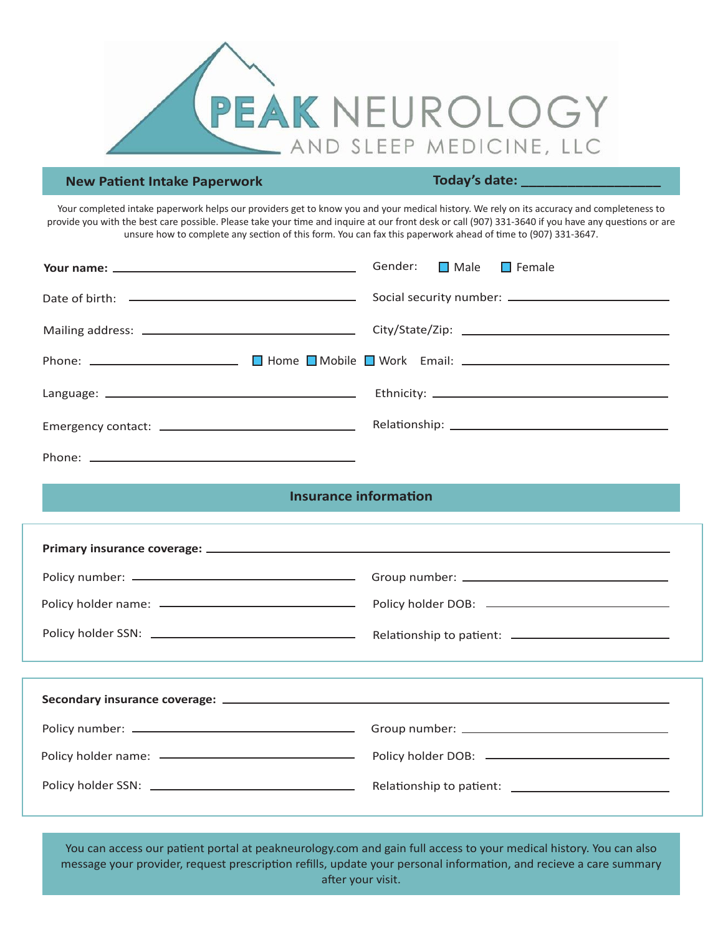

## **New Patient Intake Paperwork**

**Today's date: \_\_\_\_\_\_\_\_\_\_\_\_\_\_\_\_\_\_**

Your completed intake paperwork helps our providers get to know you and your medical history. We rely on its accuracy and completeness to provide you with the best care possible. Please take your time and inquire at our front desk or call (907) 331-3640 if you have any questions or are unsure how to complete any section of this form. You can fax this paperwork ahead of time to (907) 331-3647.

| Gender: Male Female |
|---------------------|
|                     |
|                     |
|                     |
|                     |
|                     |
|                     |

## **Insurance information**

You can access our patient portal at peakneurology.com and gain full access to your medical history. You can also message your provider, request prescription refills, update your personal information, and recieve a care summary after your visit.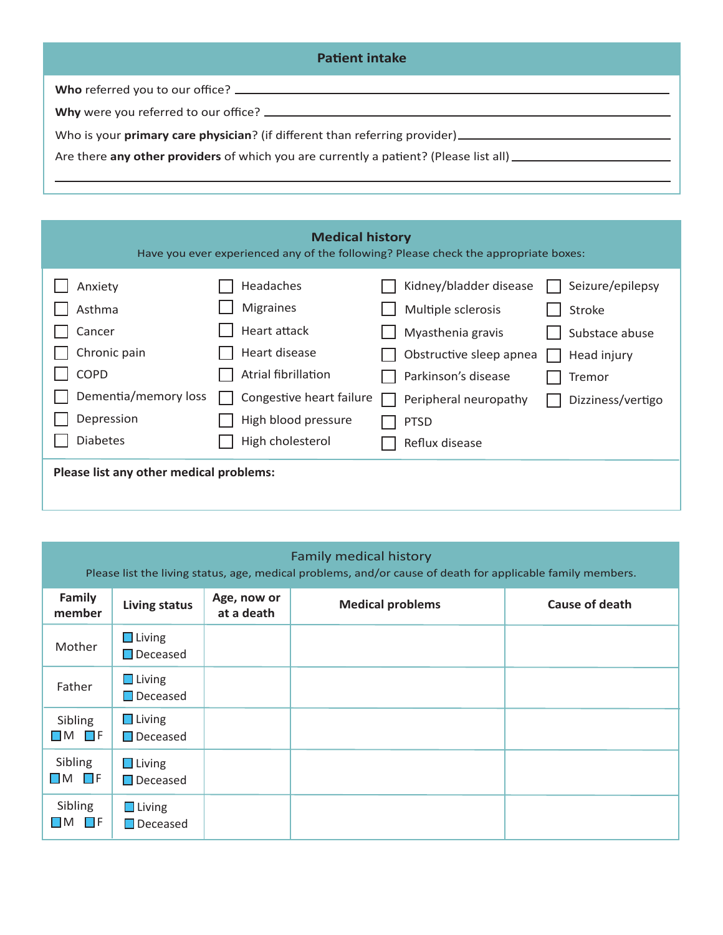| <b>Patient intake</b>                                                                                         |
|---------------------------------------------------------------------------------------------------------------|
|                                                                                                               |
|                                                                                                               |
|                                                                                                               |
| Are there any other providers of which you are currently a patient? (Please list all) _______________________ |
|                                                                                                               |

| <b>Medical history</b><br>Have you ever experienced any of the following? Please check the appropriate boxes: |                                         |                          |                                         |                                 |  |
|---------------------------------------------------------------------------------------------------------------|-----------------------------------------|--------------------------|-----------------------------------------|---------------------------------|--|
| Anxiety                                                                                                       | Headaches                               |                          | Kidney/bladder disease                  | Seizure/epilepsy                |  |
| Asthma<br>Cancer                                                                                              | <b>Migraines</b><br><b>Heart attack</b> |                          | Multiple sclerosis<br>Myasthenia gravis | <b>Stroke</b><br>Substace abuse |  |
| Chronic pain                                                                                                  | Heart disease                           |                          | Obstructive sleep apnea                 | Head injury                     |  |
| <b>COPD</b>                                                                                                   | Atrial fibrillation                     |                          | Parkinson's disease                     | Tremor                          |  |
| Dementia/memory loss                                                                                          |                                         | Congestive heart failure | Peripheral neuropathy                   | Dizziness/vertigo               |  |
| Depression                                                                                                    | High blood pressure                     |                          | <b>PTSD</b>                             |                                 |  |
| <b>Diabetes</b>                                                                                               | High cholesterol                        |                          | Reflux disease                          |                                 |  |
| Please list any other medical problems:                                                                       |                                         |                          |                                         |                                 |  |
|                                                                                                               |                                         |                          |                                         |                                 |  |

| <b>Family medical history</b><br>Please list the living status, age, medical problems, and/or cause of death for applicable family members. |                                  |                           |                         |                       |  |
|---------------------------------------------------------------------------------------------------------------------------------------------|----------------------------------|---------------------------|-------------------------|-----------------------|--|
| Family<br>member                                                                                                                            | <b>Living status</b>             | Age, now or<br>at a death | <b>Medical problems</b> | <b>Cause of death</b> |  |
| Mother                                                                                                                                      | $\Box$ Living<br>$\Box$ Deceased |                           |                         |                       |  |
| Father                                                                                                                                      | $\Box$ Living<br>$\Box$ Deceased |                           |                         |                       |  |
| Sibling<br>$\Box$ M $\Box$ F                                                                                                                | $\Box$ Living<br>$\Box$ Deceased |                           |                         |                       |  |
| Sibling<br>$\Box$ M $\Box$ F                                                                                                                | $\Box$ Living<br>$\Box$ Deceased |                           |                         |                       |  |
| Sibling<br>$\square$ M $\square$ f                                                                                                          | $\Box$ Living<br>$\Box$ Deceased |                           |                         |                       |  |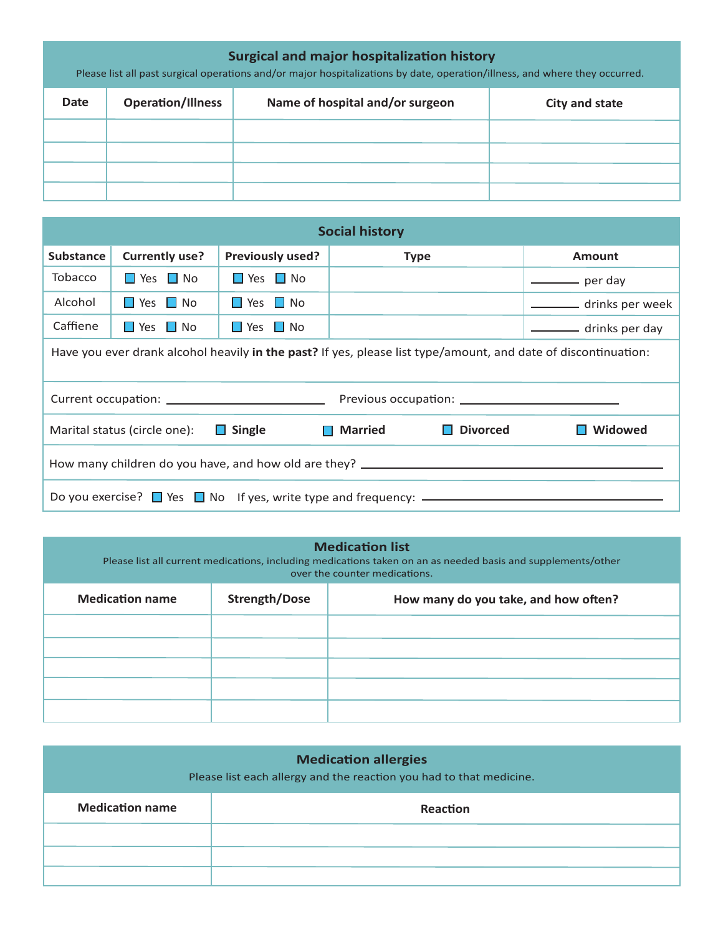| <b>Surgical and major hospitalization history</b><br>Please list all past surgical operations and/or major hospitalizations by date, operation/illness, and where they occurred. |                                                                               |  |  |  |  |  |
|----------------------------------------------------------------------------------------------------------------------------------------------------------------------------------|-------------------------------------------------------------------------------|--|--|--|--|--|
| Date                                                                                                                                                                             | <b>Operation/Illness</b><br>Name of hospital and/or surgeon<br>City and state |  |  |  |  |  |
|                                                                                                                                                                                  |                                                                               |  |  |  |  |  |
|                                                                                                                                                                                  |                                                                               |  |  |  |  |  |
|                                                                                                                                                                                  |                                                                               |  |  |  |  |  |
|                                                                                                                                                                                  |                                                                               |  |  |  |  |  |

| <b>Social history</b>                                                                                          |                       |                                      |             |                 |
|----------------------------------------------------------------------------------------------------------------|-----------------------|--------------------------------------|-------------|-----------------|
| <b>Substance</b>                                                                                               | <b>Currently use?</b> | <b>Previously used?</b>              | <b>Type</b> | <b>Amount</b>   |
| <b>Tobacco</b>                                                                                                 | $\Box$ Yes $\Box$ No  | $\blacksquare$ Yes $\blacksquare$ No |             | per day         |
| Alcohol                                                                                                        | $\Box$ Yes $\Box$ No  | $\Box$ Yes $\Box$ No                 |             | drinks per week |
| Caffiene                                                                                                       | $\Box$ Yes $\Box$ No  | <b>No</b> Yes <b>No</b>              |             | drinks per day  |
| Have you ever drank alcohol heavily in the past? If yes, please list type/amount, and date of discontinuation: |                       |                                      |             |                 |
|                                                                                                                |                       |                                      |             |                 |
| $\Box$ Single<br><b>Divorced</b><br>Widowed<br><b>Narried</b><br>Marital status (circle one):<br>H             |                       |                                      |             |                 |
| How many children do you have, and how old are they? ____________________________                              |                       |                                      |             |                 |
| Do you exercise? ■ Yes ■ No If yes, write type and frequency: ——————————————————                               |                       |                                      |             |                 |

| <b>Medication list</b><br>Please list all current medications, including medications taken on an as needed basis and supplements/other<br>over the counter medications. |                      |                                      |  |  |
|-------------------------------------------------------------------------------------------------------------------------------------------------------------------------|----------------------|--------------------------------------|--|--|
| <b>Medication name</b>                                                                                                                                                  | <b>Strength/Dose</b> | How many do you take, and how often? |  |  |
|                                                                                                                                                                         |                      |                                      |  |  |
|                                                                                                                                                                         |                      |                                      |  |  |
|                                                                                                                                                                         |                      |                                      |  |  |
|                                                                                                                                                                         |                      |                                      |  |  |
|                                                                                                                                                                         |                      |                                      |  |  |

| <b>Medication allergies</b><br>Please list each allergy and the reaction you had to that medicine. |          |  |  |
|----------------------------------------------------------------------------------------------------|----------|--|--|
| <b>Medication name</b>                                                                             | Reaction |  |  |
|                                                                                                    |          |  |  |
|                                                                                                    |          |  |  |
|                                                                                                    |          |  |  |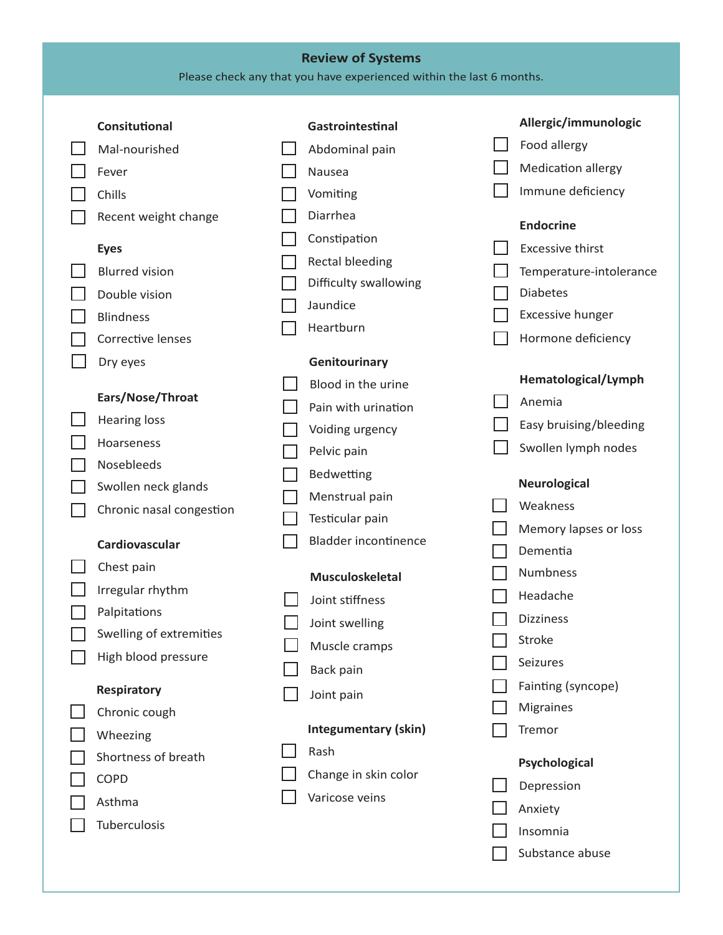## **Review of Systems**

Please check any that you have experienced within the last 6 months.

|  | Consitutional            | Gastrointestinal            | Allergic/immunologic      |
|--|--------------------------|-----------------------------|---------------------------|
|  | Mal-nourished            | Abdominal pain              | Food allergy              |
|  | Fever                    | Nausea                      | <b>Medication allergy</b> |
|  | Chills                   | Vomiting                    | Immune deficiency         |
|  | Recent weight change     | Diarrhea                    | <b>Endocrine</b>          |
|  | <b>Eyes</b>              | Constipation                | <b>Excessive thirst</b>   |
|  | <b>Blurred vision</b>    | <b>Rectal bleeding</b>      | Temperature-intolerance   |
|  | Double vision            | Difficulty swallowing       | <b>Diabetes</b>           |
|  | <b>Blindness</b>         | Jaundice                    | <b>Excessive hunger</b>   |
|  | Corrective lenses        | Heartburn                   | Hormone deficiency        |
|  | Dry eyes                 | Genitourinary               |                           |
|  |                          | Blood in the urine          | Hematological/Lymph       |
|  | Ears/Nose/Throat         | Pain with urination         | Anemia                    |
|  | <b>Hearing loss</b>      | Voiding urgency             | Easy bruising/bleeding    |
|  | Hoarseness               | Pelvic pain                 | Swollen lymph nodes       |
|  | Nosebleeds               |                             |                           |
|  | Swollen neck glands      | Bedwetting                  | <b>Neurological</b>       |
|  | Chronic nasal congestion | Menstrual pain              | Weakness                  |
|  |                          | Testicular pain             | Memory lapses or loss     |
|  | Cardiovascular           | <b>Bladder incontinence</b> | Dementia                  |
|  | Chest pain               | <b>Musculoskeletal</b>      | Numbness                  |
|  | Irregular rhythm         | Joint stiffness             | Headache                  |
|  | Palpitations             | Joint swelling              | <b>Dizziness</b>          |
|  | Swelling of extremities  | Muscle cramps               | Stroke                    |
|  | High blood pressure      | Back pain                   | Seizures                  |
|  | <b>Respiratory</b>       | Joint pain                  | Fainting (syncope)        |
|  | Chronic cough            |                             | <b>Migraines</b>          |
|  | Wheezing                 | <b>Integumentary (skin)</b> | Tremor                    |
|  | Shortness of breath      | Rash                        | Psychological             |
|  | COPD                     | Change in skin color        | Depression                |
|  | Asthma                   | Varicose veins              |                           |
|  | Tuberculosis             |                             | Anxiety                   |
|  |                          |                             | Insomnia                  |
|  |                          |                             | Substance abuse           |